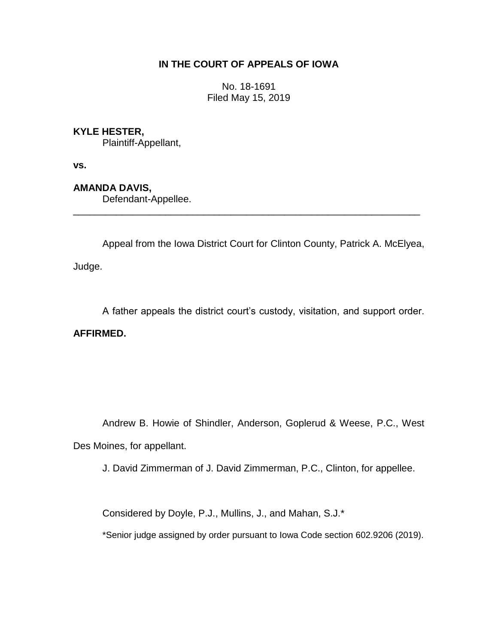## **IN THE COURT OF APPEALS OF IOWA**

No. 18-1691 Filed May 15, 2019

## **KYLE HESTER,**

Plaintiff-Appellant,

**vs.**

**AMANDA DAVIS,**

Defendant-Appellee.

Appeal from the Iowa District Court for Clinton County, Patrick A. McElyea,

\_\_\_\_\_\_\_\_\_\_\_\_\_\_\_\_\_\_\_\_\_\_\_\_\_\_\_\_\_\_\_\_\_\_\_\_\_\_\_\_\_\_\_\_\_\_\_\_\_\_\_\_\_\_\_\_\_\_\_\_\_\_\_\_

Judge.

A father appeals the district court's custody, visitation, and support order.

**AFFIRMED.**

Andrew B. Howie of Shindler, Anderson, Goplerud & Weese, P.C., West Des Moines, for appellant.

J. David Zimmerman of J. David Zimmerman, P.C., Clinton, for appellee.

Considered by Doyle, P.J., Mullins, J., and Mahan, S.J.\*

\*Senior judge assigned by order pursuant to Iowa Code section 602.9206 (2019).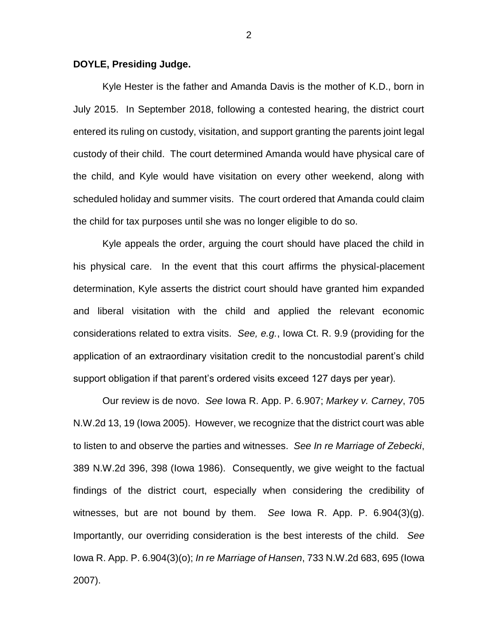## **DOYLE, Presiding Judge.**

Kyle Hester is the father and Amanda Davis is the mother of K.D., born in July 2015. In September 2018, following a contested hearing, the district court entered its ruling on custody, visitation, and support granting the parents joint legal custody of their child. The court determined Amanda would have physical care of the child, and Kyle would have visitation on every other weekend, along with scheduled holiday and summer visits. The court ordered that Amanda could claim the child for tax purposes until she was no longer eligible to do so.

Kyle appeals the order, arguing the court should have placed the child in his physical care. In the event that this court affirms the physical-placement determination, Kyle asserts the district court should have granted him expanded and liberal visitation with the child and applied the relevant economic considerations related to extra visits. *See, e.g.*, Iowa Ct. R. 9.9 (providing for the application of an extraordinary visitation credit to the noncustodial parent's child support obligation if that parent's ordered visits exceed 127 days per year).

Our review is de novo. *See* Iowa R. App. P. 6.907; *Markey v. Carney*, 705 N.W.2d 13, 19 (Iowa 2005). However, we recognize that the district court was able to listen to and observe the parties and witnesses. *See In re Marriage of Zebecki*, 389 N.W.2d 396, 398 (Iowa 1986). Consequently, we give weight to the factual findings of the district court, especially when considering the credibility of witnesses, but are not bound by them. *See* Iowa R. App. P. 6.904(3)(g). Importantly, our overriding consideration is the best interests of the child. *See*  Iowa R. App. P. 6.904(3)(o); *In re Marriage of Hansen*, 733 N.W.2d 683, 695 (Iowa 2007).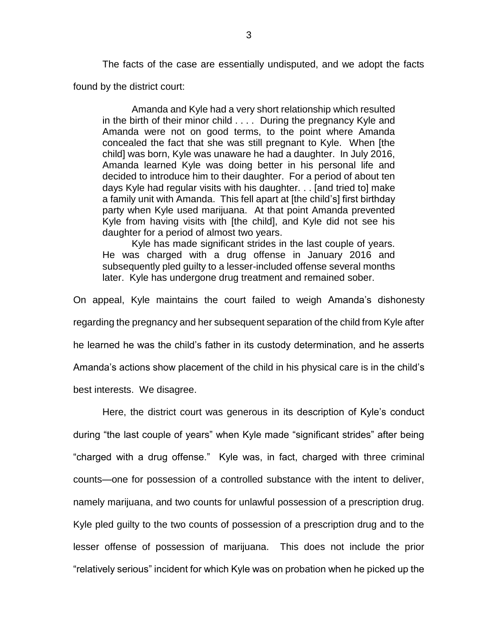The facts of the case are essentially undisputed, and we adopt the facts found by the district court:

Amanda and Kyle had a very short relationship which resulted in the birth of their minor child . . . . During the pregnancy Kyle and Amanda were not on good terms, to the point where Amanda concealed the fact that she was still pregnant to Kyle. When [the child] was born, Kyle was unaware he had a daughter. In July 2016, Amanda learned Kyle was doing better in his personal life and decided to introduce him to their daughter. For a period of about ten days Kyle had regular visits with his daughter. . . [and tried to] make a family unit with Amanda. This fell apart at [the child's] first birthday party when Kyle used marijuana. At that point Amanda prevented Kyle from having visits with [the child], and Kyle did not see his daughter for a period of almost two years.

Kyle has made significant strides in the last couple of years. He was charged with a drug offense in January 2016 and subsequently pled guilty to a lesser-included offense several months later. Kyle has undergone drug treatment and remained sober.

On appeal, Kyle maintains the court failed to weigh Amanda's dishonesty regarding the pregnancy and her subsequent separation of the child from Kyle after he learned he was the child's father in its custody determination, and he asserts Amanda's actions show placement of the child in his physical care is in the child's best interests. We disagree.

Here, the district court was generous in its description of Kyle's conduct during "the last couple of years" when Kyle made "significant strides" after being "charged with a drug offense." Kyle was, in fact, charged with three criminal counts—one for possession of a controlled substance with the intent to deliver, namely marijuana, and two counts for unlawful possession of a prescription drug. Kyle pled guilty to the two counts of possession of a prescription drug and to the lesser offense of possession of marijuana. This does not include the prior "relatively serious" incident for which Kyle was on probation when he picked up the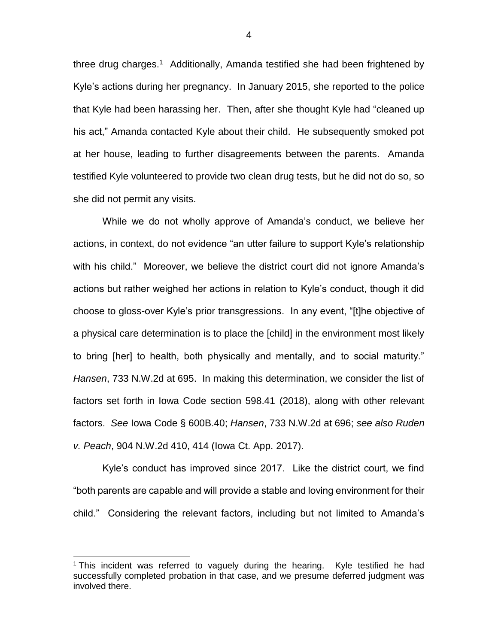three drug charges.<sup>1</sup> Additionally, Amanda testified she had been frightened by Kyle's actions during her pregnancy. In January 2015, she reported to the police that Kyle had been harassing her. Then, after she thought Kyle had "cleaned up his act," Amanda contacted Kyle about their child. He subsequently smoked pot at her house, leading to further disagreements between the parents. Amanda testified Kyle volunteered to provide two clean drug tests, but he did not do so, so she did not permit any visits.

While we do not wholly approve of Amanda's conduct, we believe her actions, in context, do not evidence "an utter failure to support Kyle's relationship with his child." Moreover, we believe the district court did not ignore Amanda's actions but rather weighed her actions in relation to Kyle's conduct, though it did choose to gloss-over Kyle's prior transgressions. In any event, "[t]he objective of a physical care determination is to place the [child] in the environment most likely to bring [her] to health, both physically and mentally, and to social maturity." *Hansen*, 733 N.W.2d at 695. In making this determination, we consider the list of factors set forth in Iowa Code section 598.41 (2018), along with other relevant factors. *See* Iowa Code § 600B.40; *Hansen*, 733 N.W.2d at 696; *see also Ruden v. Peach*, 904 N.W.2d 410, 414 (Iowa Ct. App. 2017).

Kyle's conduct has improved since 2017. Like the district court, we find "both parents are capable and will provide a stable and loving environment for their child." Considering the relevant factors, including but not limited to Amanda's

 $\overline{a}$ 

4

<sup>&</sup>lt;sup>1</sup> This incident was referred to vaguely during the hearing. Kyle testified he had successfully completed probation in that case, and we presume deferred judgment was involved there.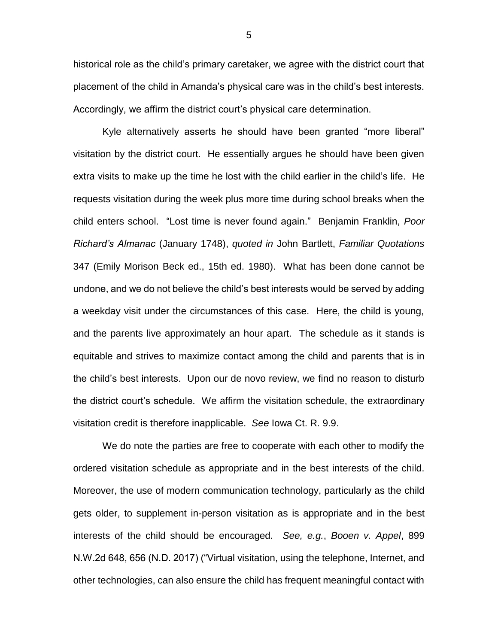historical role as the child's primary caretaker, we agree with the district court that placement of the child in Amanda's physical care was in the child's best interests. Accordingly, we affirm the district court's physical care determination.

Kyle alternatively asserts he should have been granted "more liberal" visitation by the district court. He essentially argues he should have been given extra visits to make up the time he lost with the child earlier in the child's life. He requests visitation during the week plus more time during school breaks when the child enters school. "Lost time is never found again." Benjamin Franklin, *Poor Richard's Almanac* (January 1748), *quoted in* John Bartlett, *Familiar Quotations* 347 (Emily Morison Beck ed., 15th ed. 1980). What has been done cannot be undone, and we do not believe the child's best interests would be served by adding a weekday visit under the circumstances of this case. Here, the child is young, and the parents live approximately an hour apart. The schedule as it stands is equitable and strives to maximize contact among the child and parents that is in the child's best interests. Upon our de novo review, we find no reason to disturb the district court's schedule. We affirm the visitation schedule, the extraordinary visitation credit is therefore inapplicable. *See* Iowa Ct. R. 9.9.

We do note the parties are free to cooperate with each other to modify the ordered visitation schedule as appropriate and in the best interests of the child. Moreover, the use of modern communication technology, particularly as the child gets older, to supplement in-person visitation as is appropriate and in the best interests of the child should be encouraged. *See, e.g.*, *Booen v. Appel*, 899 N.W.2d 648, 656 (N.D. 2017) ("Virtual visitation, using the telephone, Internet, and other technologies, can also ensure the child has frequent meaningful contact with

5